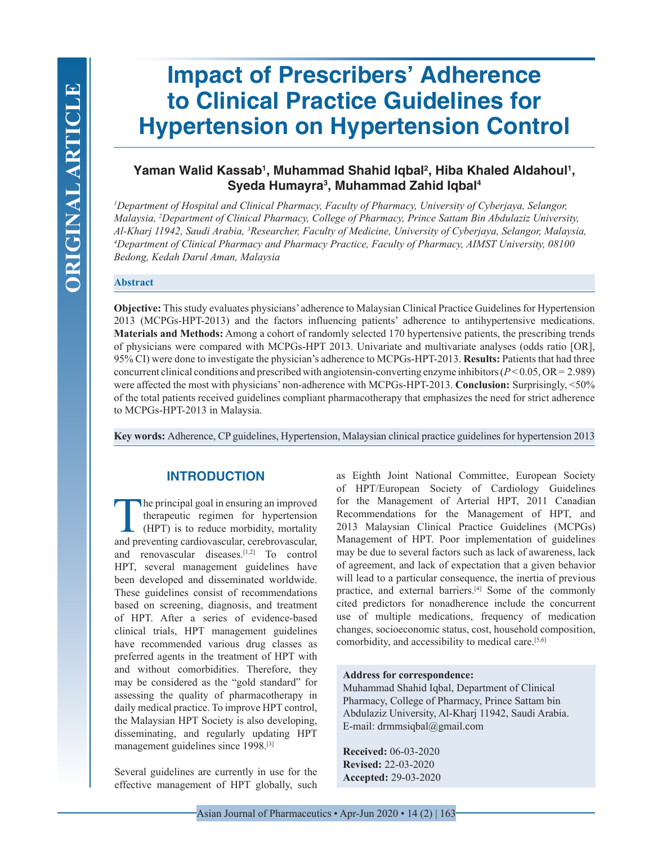# **Impact of Prescribers' Adherence to Clinical Practice Guidelines for Hypertension on Hypertension Control**

## Yaman Walid Kassab<sup>ı</sup>, Muhammad Shahid Iqbal<sup>2</sup>, Hiba Khaled Aldahoul<sup>ı</sup>, **Syeda Humayra3 , Muhammad Zahid Iqbal4**

*1 Department of Hospital and Clinical Pharmacy, Faculty of Pharmacy, University of Cyberjaya, Selangor, Malaysia, 2 Department of Clinical Pharmacy, College of Pharmacy, Prince Sattam Bin Abdulaziz University, Al-Kharj 11942, Saudi Arabia, 3 Researcher, Faculty of Medicine, University of Cyberjaya, Selangor, Malaysia, 4 Department of Clinical Pharmacy and Pharmacy Practice, Faculty of Pharmacy, AIMST University, 08100 Bedong, Kedah Darul Aman, Malaysia*

## **Abstract**

**Objective:** This study evaluates physicians' adherence to Malaysian Clinical Practice Guidelines for Hypertension 2013 (MCPGs-HPT-2013) and the factors influencing patients' adherence to antihypertensive medications. **Materials and Methods:** Among a cohort of randomly selected 170 hypertensive patients, the prescribing trends of physicians were compared with MCPGs-HPT 2013. Univariate and multivariate analyses (odds ratio [OR], 95% CI) were done to investigate the physician's adherence to MCPGs-HPT-2013. **Results:** Patients that had three concurrent clinical conditions and prescribed with angiotensin-converting enzyme inhibitors (*P* < 0.05, OR = 2.989) were affected the most with physicians' non-adherence with MCPGs-HPT-2013. **Conclusion:** Surprisingly, <50% of the total patients received guidelines compliant pharmacotherapy that emphasizes the need for strict adherence to MCPGs-HPT-2013 in Malaysia.

**Key words:** Adherence, CP guidelines, Hypertension, Malaysian clinical practice guidelines for hypertension 2013

## **INTRODUCTION**

The principal goal in ensuring an improved<br>therapeutic regimen for hypertension<br>(HPT) is to reduce morbidity, mortality<br>and preventing cardiovascular cerebrovascular therapeutic regimen for hypertension (HPT) is to reduce morbidity, mortality and preventing cardiovascular, cerebrovascular, and renovascular diseases.[1,2] To control HPT, several management guidelines have been developed and disseminated worldwide. These guidelines consist of recommendations based on screening, diagnosis, and treatment of HPT. After a series of evidence-based clinical trials, HPT management guidelines have recommended various drug classes as preferred agents in the treatment of HPT with and without comorbidities. Therefore, they may be considered as the "gold standard" for assessing the quality of pharmacotherapy in daily medical practice. To improve HPT control, the Malaysian HPT Society is also developing, disseminating, and regularly updating HPT management guidelines since 1998.[3]

Several guidelines are currently in use for the effective management of HPT globally, such as Eighth Joint National Committee, European Society of HPT/European Society of Cardiology Guidelines for the Management of Arterial HPT, 2011 Canadian Recommendations for the Management of HPT, and 2013 Malaysian Clinical Practice Guidelines (MCPGs) Management of HPT. Poor implementation of guidelines may be due to several factors such as lack of awareness, lack of agreement, and lack of expectation that a given behavior will lead to a particular consequence, the inertia of previous practice, and external barriers.[4] Some of the commonly cited predictors for nonadherence include the concurrent use of multiple medications, frequency of medication changes, socioeconomic status, cost, household composition, comorbidity, and accessibility to medical care.[5,6]

#### **Address for correspondence:**

Muhammad Shahid Iqbal, Department of Clinical Pharmacy, College of Pharmacy, Prince Sattam bin Abdulaziz University, Al-Kharj 11942, Saudi Arabia. E-mail: drmmsiqbal@gmail.com

**Received:** 06-03-2020 **Revised:** 22-03-2020 **Accepted:** 29-03-2020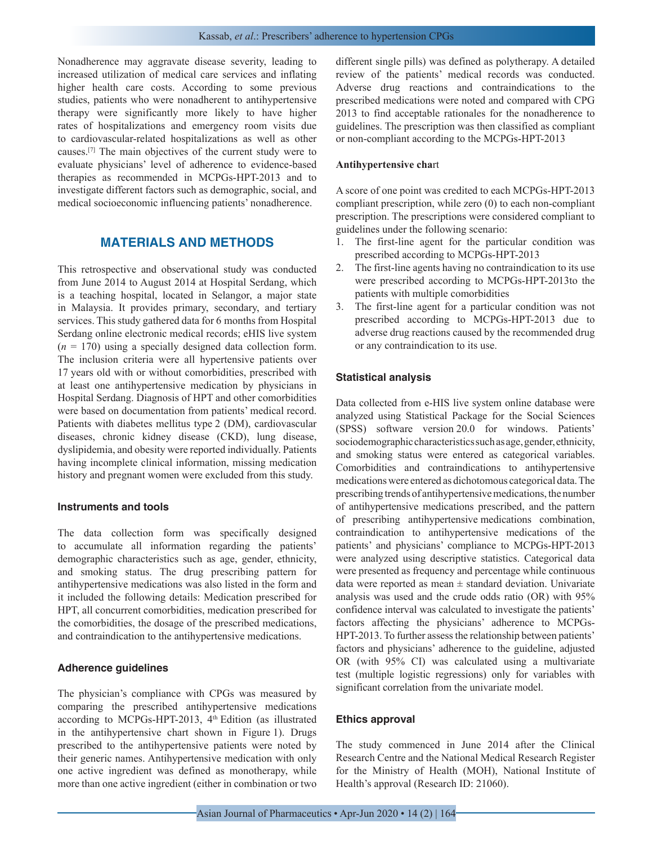Nonadherence may aggravate disease severity, leading to increased utilization of medical care services and inflating higher health care costs. According to some previous studies, patients who were nonadherent to antihypertensive therapy were significantly more likely to have higher rates of hospitalizations and emergency room visits due to cardiovascular-related hospitalizations as well as other causes.[7] The main objectives of the current study were to evaluate physicians' level of adherence to evidence-based therapies as recommended in MCPGs-HPT-2013 and to investigate different factors such as demographic, social, and medical socioeconomic influencing patients' nonadherence.

## **MATERIALS AND METHODS**

This retrospective and observational study was conducted from June 2014 to August 2014 at Hospital Serdang, which is a teaching hospital, located in Selangor, a major state in Malaysia. It provides primary, secondary, and tertiary services. This study gathered data for 6 months from Hospital Serdang online electronic medical records; eHIS live system  $(n = 170)$  using a specially designed data collection form. The inclusion criteria were all hypertensive patients over 17 years old with or without comorbidities, prescribed with at least one antihypertensive medication by physicians in Hospital Serdang. Diagnosis of HPT and other comorbidities were based on documentation from patients' medical record. Patients with diabetes mellitus type 2 (DM), cardiovascular diseases, chronic kidney disease (CKD), lung disease, dyslipidemia, and obesity were reported individually. Patients having incomplete clinical information, missing medication history and pregnant women were excluded from this study.

#### **Instruments and tools**

The data collection form was specifically designed to accumulate all information regarding the patients' demographic characteristics such as age, gender, ethnicity, and smoking status. The drug prescribing pattern for antihypertensive medications was also listed in the form and it included the following details: Medication prescribed for HPT, all concurrent comorbidities, medication prescribed for the comorbidities, the dosage of the prescribed medications, and contraindication to the antihypertensive medications.

#### **Adherence guidelines**

The physician's compliance with CPGs was measured by comparing the prescribed antihypertensive medications according to MCPGs-HPT-2013, 4<sup>th</sup> Edition (as illustrated in the antihypertensive chart shown in Figure 1). Drugs prescribed to the antihypertensive patients were noted by their generic names. Antihypertensive medication with only one active ingredient was defined as monotherapy, while more than one active ingredient (either in combination or two

different single pills) was defined as polytherapy. A detailed review of the patients' medical records was conducted. Adverse drug reactions and contraindications to the prescribed medications were noted and compared with CPG 2013 to find acceptable rationales for the nonadherence to guidelines. The prescription was then classified as compliant or non-compliant according to the MCPGs-HPT-2013

#### **Antihypertensive cha**rt

A score of one point was credited to each MCPGs-HPT-2013 compliant prescription, while zero (0) to each non-compliant prescription. The prescriptions were considered compliant to guidelines under the following scenario:

- 1. The first-line agent for the particular condition was prescribed according to MCPGs-HPT-2013
- 2. The first-line agents having no contraindication to its use were prescribed according to MCPGs-HPT-2013to the patients with multiple comorbidities
- 3. The first-line agent for a particular condition was not prescribed according to MCPGs-HPT-2013 due to adverse drug reactions caused by the recommended drug or any contraindication to its use.

#### **Statistical analysis**

Data collected from e-HIS live system online database were analyzed using Statistical Package for the Social Sciences (SPSS) software version 20.0 for windows. Patients' sociodemographic characteristics such as age, gender, ethnicity, and smoking status were entered as categorical variables. Comorbidities and contraindications to antihypertensive medications were entered as dichotomous categorical data. The prescribing trends of antihypertensive medications, the number of antihypertensive medications prescribed, and the pattern of prescribing antihypertensive medications combination, contraindication to antihypertensive medications of the patients' and physicians' compliance to MCPGs-HPT-2013 were analyzed using descriptive statistics. Categorical data were presented as frequency and percentage while continuous data were reported as mean  $\pm$  standard deviation. Univariate analysis was used and the crude odds ratio (OR) with 95% confidence interval was calculated to investigate the patients' factors affecting the physicians' adherence to MCPGs-HPT-2013. To further assess the relationship between patients' factors and physicians' adherence to the guideline, adjusted OR (with 95% CI) was calculated using a multivariate test (multiple logistic regressions) only for variables with significant correlation from the univariate model.

#### **Ethics approval**

The study commenced in June 2014 after the Clinical Research Centre and the National Medical Research Register for the Ministry of Health (MOH), National Institute of Health's approval (Research ID: 21060).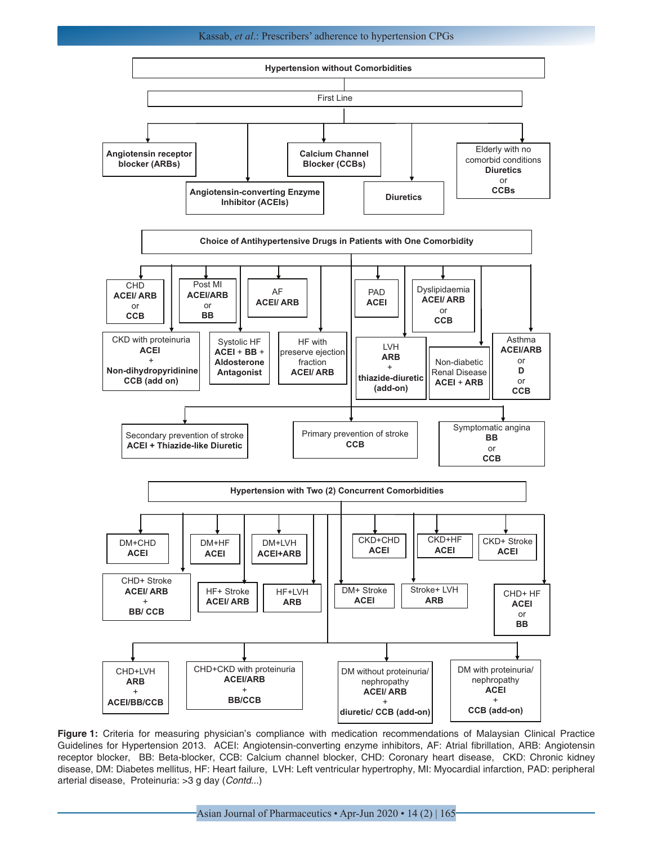#### Kassab, *et al*.: Prescribers' adherence to hypertension CPGs



**Figure 1:** Criteria for measuring physician's compliance with medication recommendations of Malaysian Clinical Practice Guidelines for Hypertension 2013. ACEI: Angiotensin-converting enzyme inhibitors, AF: Atrial fibrillation, ARB: Angiotensin receptor blocker, BB: Beta-blocker, CCB: Calcium channel blocker, CHD: Coronary heart disease, CKD: Chronic kidney disease, DM: Diabetes mellitus, HF: Heart failure, LVH: Left ventricular hypertrophy, MI: Myocardial infarction, PAD: peripheral arterial disease, Proteinuria: >3 g day (*Contd...*)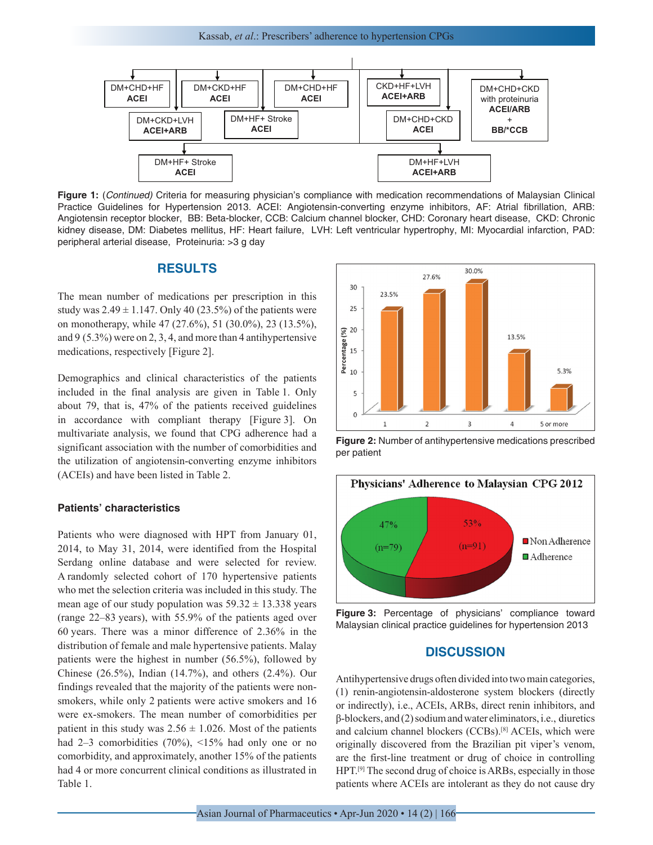

ACEI: Angiotensin-Converting Engine Engine Converting Converting Converting Converting Converting Converting Converting Converting Converting Converting Converting Converting Converting Converting Converting Converting Con Angiotensin receptor blocker, BB: Beta-blocker, CCB: Calcium channel blocker, CHD: Coronary heart disease, CKD: Chronic kidney disease, DM: Diabetes mellitus, HF: Heart failure, LVH: Left ventricular hypertrophy, MI: Myocardial infarction, PAD: peripheral arterial disease, Proteinuria: >3 g day **Figure 1:** (*Continued)* Criteria for measuring physician's compliance with medication recommendations of Malaysian Clinical Practice Guidelines for Hypertension 2013. ACEI: Angiotensin-converting enzyme inhibitors, AF: Atrial fibrillation, ARB:

## **RESULTS**

The mean number of medications per prescription in this study was  $2.49 \pm 1.147$ . Only 40 (23.5%) of the patients were on monotherapy, while 47 (27.6%), 51 (30.0%), 23 (13.5%), and 9 (5.3%) were on 2, 3, 4, and more than 4 antihypertensive medications, respectively [Figure 2].

Demographics and clinical characteristics of the patients included in the final analysis are given in Table 1. Only about 79, that is, 47% of the patients received guidelines in accordance with compliant therapy [Figure 3]. On multivariate analysis, we found that CPG adherence had a significant association with the number of comorbidities and the utilization of angiotensin-converting enzyme inhibitors (ACEIs) and have been listed in Table 2.

#### **Patients' characteristics**

Patients who were diagnosed with HPT from January 01, 2014, to May 31, 2014, were identified from the Hospital Serdang online database and were selected for review. A randomly selected cohort of 170 hypertensive patients who met the selection criteria was included in this study. The mean age of our study population was  $59.32 \pm 13.338$  years (range 22–83 years), with 55.9% of the patients aged over 60 years. There was a minor difference of 2.36% in the distribution of female and male hypertensive patients. Malay patients were the highest in number (56.5%), followed by Chinese (26.5%), Indian (14.7%), and others (2.4%). Our findings revealed that the majority of the patients were nonsmokers, while only 2 patients were active smokers and 16 were ex-smokers. The mean number of comorbidities per patient in this study was  $2.56 \pm 1.026$ . Most of the patients had 2–3 comorbidities (70%), <15% had only one or no comorbidity, and approximately, another 15% of the patients had 4 or more concurrent clinical conditions as illustrated in Table 1.



**Figure 2:** Number of antihypertensive medications prescribed per patient





## **DISCUSSION**

Antihypertensive drugs often divided into two main categories, (1) renin-angiotensin-aldosterone system blockers (directly or indirectly), i.e., ACEIs, ARBs, direct renin inhibitors, and β-blockers, and (2) sodium and water eliminators, i.e., diuretics and calcium channel blockers (CCBs).[8] ACEIs, which were originally discovered from the Brazilian pit viper's venom, are the first-line treatment or drug of choice in controlling HPT.<sup>[9]</sup> The second drug of choice is ARBs, especially in those patients where ACEIs are intolerant as they do not cause dry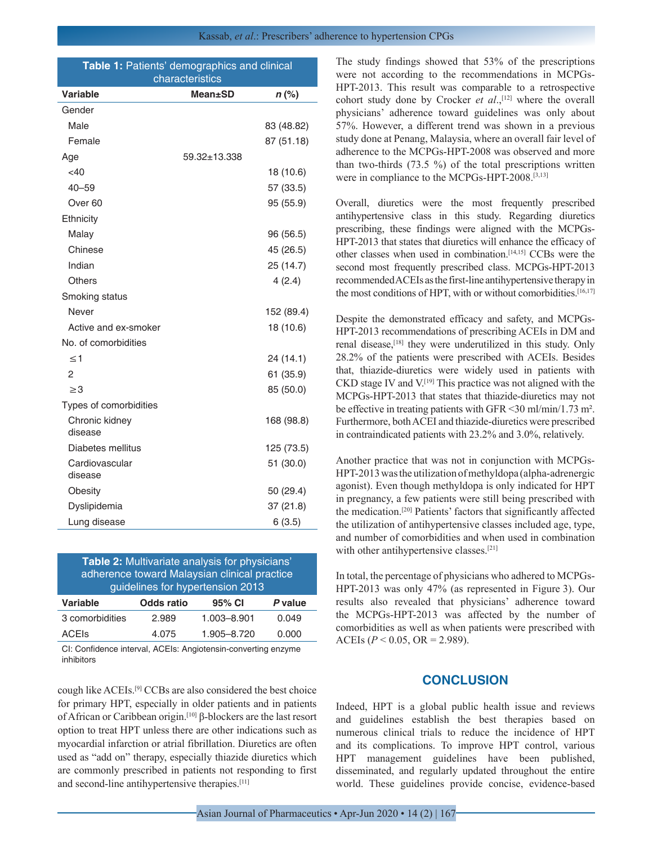| Table 1: Patients' demographics and clinical<br>characteristics |                |            |  |  |
|-----------------------------------------------------------------|----------------|------------|--|--|
| <b>Variable</b>                                                 | <b>Mean±SD</b> | $n$ (%)    |  |  |
| Gender                                                          |                |            |  |  |
| Male                                                            |                | 83 (48.82) |  |  |
| Female                                                          |                | 87 (51.18) |  |  |
| Age                                                             | 59.32±13.338   |            |  |  |
| $<$ 40                                                          |                | 18 (10.6)  |  |  |
| $40 - 59$                                                       |                | 57 (33.5)  |  |  |
| Over 60                                                         |                | 95 (55.9)  |  |  |
| Ethnicity                                                       |                |            |  |  |
| Malay                                                           |                | 96 (56.5)  |  |  |
| Chinese                                                         |                | 45 (26.5)  |  |  |
| Indian                                                          |                | 25 (14.7)  |  |  |
| <b>Others</b>                                                   |                | 4(2.4)     |  |  |
| Smoking status                                                  |                |            |  |  |
| Never                                                           |                | 152 (89.4) |  |  |
| Active and ex-smoker                                            |                | 18 (10.6)  |  |  |
| No. of comorbidities                                            |                |            |  |  |
| $\leq 1$                                                        |                | 24 (14.1)  |  |  |
| 2                                                               |                | 61 (35.9)  |  |  |
| $\geq$ 3                                                        |                | 85 (50.0)  |  |  |
| Types of comorbidities                                          |                |            |  |  |
| Chronic kidney<br>disease                                       |                | 168 (98.8) |  |  |
| Diabetes mellitus                                               |                | 125 (73.5) |  |  |
| Cardiovascular<br>disease                                       |                | 51 (30.0)  |  |  |
| Obesity                                                         |                | 50 (29.4)  |  |  |
| Dyslipidemia                                                    |                | 37 (21.8)  |  |  |
| Lung disease                                                    |                | 6(3.5)     |  |  |

| Table 2: Multivariate analysis for physicians' |  |  |  |
|------------------------------------------------|--|--|--|
| adherence toward Malaysian clinical practice   |  |  |  |
| guidelines for hypertension 2013               |  |  |  |

| Variable        | Odds ratio | 95% CI      | P value |
|-----------------|------------|-------------|---------|
| 3 comorbidities | 2.989      | 1.003-8.901 | 0.049   |
| <b>ACEIS</b>    | 4.075      | 1.905-8.720 | 0.000   |
|                 |            |             |         |

CI: Confidence interval, ACEIs: Angiotensin-converting enzyme inhibitors

cough like ACEIs.[9] CCBs are also considered the best choice for primary HPT, especially in older patients and in patients of African or Caribbean origin.[10] β-blockers are the last resort option to treat HPT unless there are other indications such as myocardial infarction or atrial fibrillation. Diuretics are often used as "add on" therapy, especially thiazide diuretics which are commonly prescribed in patients not responding to first and second-line antihypertensive therapies.[11]

The study findings showed that 53% of the prescriptions were not according to the recommendations in MCPGs-HPT-2013. This result was comparable to a retrospective cohort study done by Crocker *et al.*,<sup>[12]</sup> where the overall physicians' adherence toward guidelines was only about 57%. However, a different trend was shown in a previous study done at Penang, Malaysia, where an overall fair level of adherence to the MCPGs-HPT-2008 was observed and more than two-thirds (73.5 %) of the total prescriptions written were in compliance to the MCPGs-HPT-2008.[3,13]

Overall, diuretics were the most frequently prescribed antihypertensive class in this study. Regarding diuretics prescribing, these findings were aligned with the MCPGs-HPT-2013 that states that diuretics will enhance the efficacy of other classes when used in combination.[14,15] CCBs were the second most frequently prescribed class. MCPGs-HPT-2013 recommended ACEIs as the first-line antihypertensive therapy in the most conditions of HPT, with or without comorbidities.<sup>[16,17]</sup>

Despite the demonstrated efficacy and safety, and MCPGs-HPT-2013 recommendations of prescribing ACEIs in DM and renal disease,<sup>[18]</sup> they were underutilized in this study. Only 28.2% of the patients were prescribed with ACEIs. Besides that, thiazide-diuretics were widely used in patients with CKD stage IV and V.[19] This practice was not aligned with the MCPGs-HPT-2013 that states that thiazide-diuretics may not be effective in treating patients with GFR <30 ml/min/1.73 m². Furthermore, both ACEI and thiazide-diuretics were prescribed in contraindicated patients with 23.2% and 3.0%, relatively.

Another practice that was not in conjunction with MCPGs-HPT-2013 was the utilization of methyldopa (alpha-adrenergic agonist). Even though methyldopa is only indicated for HPT in pregnancy, a few patients were still being prescribed with the medication.[20] Patients' factors that significantly affected the utilization of antihypertensive classes included age, type, and number of comorbidities and when used in combination with other antihypertensive classes.<sup>[21]</sup>

In total, the percentage of physicians who adhered to MCPGs-HPT-2013 was only 47% (as represented in Figure 3). Our results also revealed that physicians' adherence toward the MCPGs-HPT-2013 was affected by the number of comorbidities as well as when patients were prescribed with ACEIs ( $P < 0.05$ , OR = 2.989).

## **CONCLUSION**

Indeed, HPT is a global public health issue and reviews and guidelines establish the best therapies based on numerous clinical trials to reduce the incidence of HPT and its complications. To improve HPT control, various HPT management guidelines have been published, disseminated, and regularly updated throughout the entire world. These guidelines provide concise, evidence-based